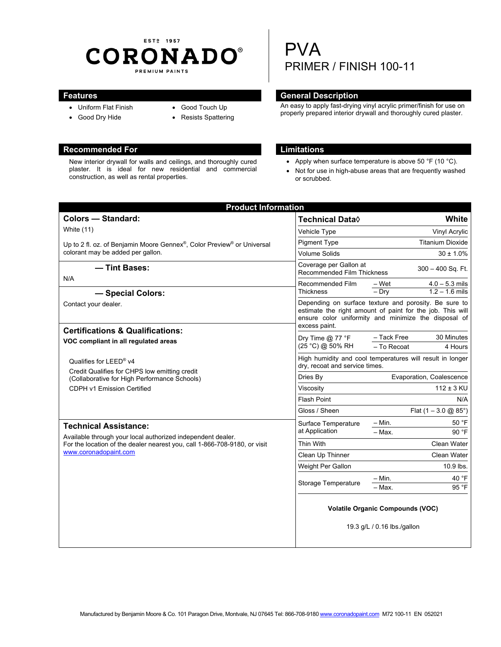## EST<sub>2</sub> 1957 **CORONADO®** PREMIUM PAINTS

- Uniform Flat Finish
- Good Dry Hide
- Good Touch Up
- Resists Spattering

### **Recommended For Limitations Limitations**

New interior drywall for walls and ceilings, and thoroughly cured plaster. It is ideal for new residential and commercial construction, as well as rental properties.

# PVA PRIMER / FINISH 100-11

#### **Features General Description Contracts Contracts and Contracts Contracts Contracts Contracts Contracts Contracts Contracts Contracts Contracts Contracts Contracts Contracts Contracts Contracts Contracts Contracts Contract**

An easy to apply fast-drying vinyl acrylic primer/finish for use on properly prepared interior drywall and thoroughly cured plaster.

- Apply when surface temperature is above 50  $\degree$ F (10  $\degree$ C).
- Not for use in high-abuse areas that are frequently washed or scrubbed.

| <b>Product Information</b>                                                                                                                                                                                                                                                                                                     |                                                                                                                                                                                             |                                        |
|--------------------------------------------------------------------------------------------------------------------------------------------------------------------------------------------------------------------------------------------------------------------------------------------------------------------------------|---------------------------------------------------------------------------------------------------------------------------------------------------------------------------------------------|----------------------------------------|
| <b>Colors - Standard:</b>                                                                                                                                                                                                                                                                                                      | <b>Technical Data</b> ♦                                                                                                                                                                     | White                                  |
| White (11)                                                                                                                                                                                                                                                                                                                     | Vehicle Type                                                                                                                                                                                | Vinyl Acrylic                          |
| Up to 2 fl. oz. of Benjamin Moore Gennex®, Color Preview® or Universal<br>colorant may be added per gallon.                                                                                                                                                                                                                    | <b>Pigment Type</b>                                                                                                                                                                         | <b>Titanium Dioxide</b>                |
|                                                                                                                                                                                                                                                                                                                                | <b>Volume Solids</b>                                                                                                                                                                        | $30 \pm 1.0\%$                         |
| - Tint Bases:                                                                                                                                                                                                                                                                                                                  | Coverage per Gallon at<br>$300 - 400$ Sq. Ft.<br>Recommended Film Thickness                                                                                                                 |                                        |
| N/A                                                                                                                                                                                                                                                                                                                            | Recommended Film                                                                                                                                                                            | $4.0 - 5.3$ mils<br>– Wet              |
| - Special Colors:                                                                                                                                                                                                                                                                                                              | <b>Thickness</b>                                                                                                                                                                            | $-$ Dry<br>$1.2 - 1.6$ mils            |
| Contact your dealer.                                                                                                                                                                                                                                                                                                           | Depending on surface texture and porosity. Be sure to<br>estimate the right amount of paint for the job. This will<br>ensure color uniformity and minimize the disposal of<br>excess paint. |                                        |
| <b>Certifications &amp; Qualifications:</b>                                                                                                                                                                                                                                                                                    | Dry Time $@$ 77 °F<br>(25 °C) @ 50% RH                                                                                                                                                      | - Tack Free<br>30 Minutes              |
| VOC compliant in all regulated areas                                                                                                                                                                                                                                                                                           |                                                                                                                                                                                             | - To Recoat<br>4 Hours                 |
| Qualifies for LEED® v4<br>Credit Qualifies for CHPS low emitting credit<br>(Collaborative for High Performance Schools)<br>CDPH v1 Emission Certified                                                                                                                                                                          | High humidity and cool temperatures will result in longer<br>dry, recoat and service times.                                                                                                 |                                        |
|                                                                                                                                                                                                                                                                                                                                | Dries By                                                                                                                                                                                    | Evaporation, Coalescence               |
|                                                                                                                                                                                                                                                                                                                                | Viscosity                                                                                                                                                                                   | $112 \pm 3$ KU                         |
|                                                                                                                                                                                                                                                                                                                                | <b>Flash Point</b>                                                                                                                                                                          | N/A                                    |
|                                                                                                                                                                                                                                                                                                                                | Gloss / Sheen                                                                                                                                                                               | Flat $(1 - 3.0 \text{ @ } 85^{\circ})$ |
| Surface Temperature<br><b>Technical Assistance:</b><br>at Application<br>Available through your local authorized independent dealer.<br>For the location of the dealer nearest you, call 1-866-708-9180, or visit<br>Thin With<br>www.coronadopaint.com<br>Clean Up Thinner<br>Weight Per Gallon<br><b>Storage Temperature</b> | $-$ Min.<br>50 °F                                                                                                                                                                           |                                        |
|                                                                                                                                                                                                                                                                                                                                |                                                                                                                                                                                             | $-$ Max.<br>90 °F                      |
|                                                                                                                                                                                                                                                                                                                                |                                                                                                                                                                                             | <b>Clean Water</b>                     |
|                                                                                                                                                                                                                                                                                                                                |                                                                                                                                                                                             | Clean Water                            |
|                                                                                                                                                                                                                                                                                                                                |                                                                                                                                                                                             | 10.9 lbs.                              |
|                                                                                                                                                                                                                                                                                                                                |                                                                                                                                                                                             | 40 °F<br>$-$ Min.<br>95 °F<br>- Max.   |
|                                                                                                                                                                                                                                                                                                                                | <b>Volatile Organic Compounds (VOC)</b><br>19.3 g/L / 0.16 lbs./gallon                                                                                                                      |                                        |